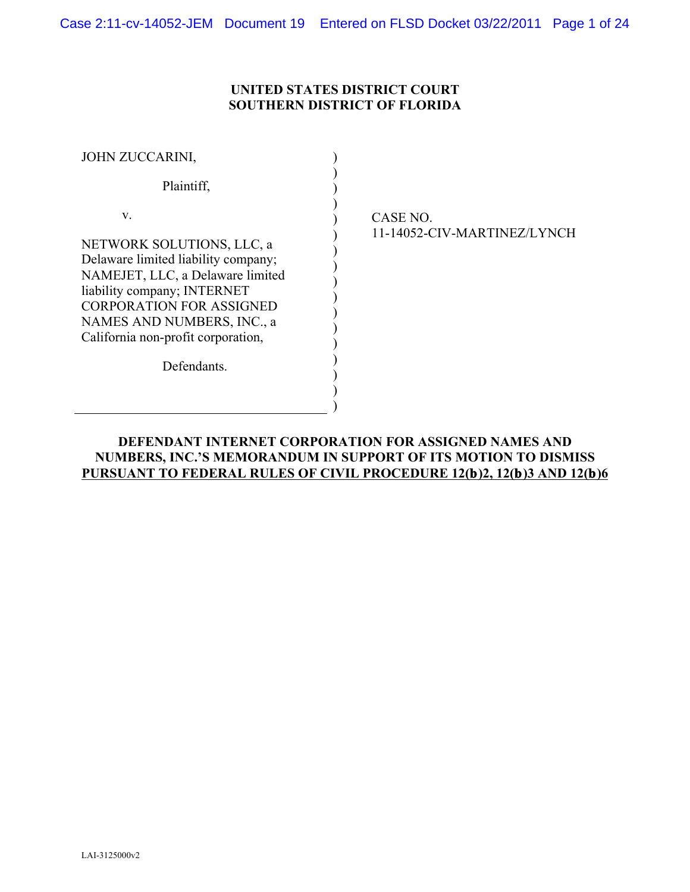# **UNITED STATES DISTRICT COURT SOUTHERN DISTRICT OF FLORIDA**

| <b>JOHN ZUCCARINI,</b>                                                                                                                                                                                                                                    |  |
|-----------------------------------------------------------------------------------------------------------------------------------------------------------------------------------------------------------------------------------------------------------|--|
| Plaintiff,                                                                                                                                                                                                                                                |  |
| V.                                                                                                                                                                                                                                                        |  |
| NETWORK SOLUTIONS, LLC, a<br>Delaware limited liability company;<br>NAMEJET, LLC, a Delaware limited<br>liability company; INTERNET<br><b>CORPORATION FOR ASSIGNED</b><br>NAMES AND NUMBERS, INC., a<br>California non-profit corporation,<br>Defendants. |  |
|                                                                                                                                                                                                                                                           |  |

CASE NO. 11-14052-CIV-MARTINEZ/LYNCH

# **DEFENDANT INTERNET CORPORATION FOR ASSIGNED NAMES AND NUMBERS, INC.'S MEMORANDUM IN SUPPORT OF ITS MOTION TO DISMISS PURSUANT TO FEDERAL RULES OF CIVIL PROCEDURE 12(b)2, 12(b)3 AND 12(b)6**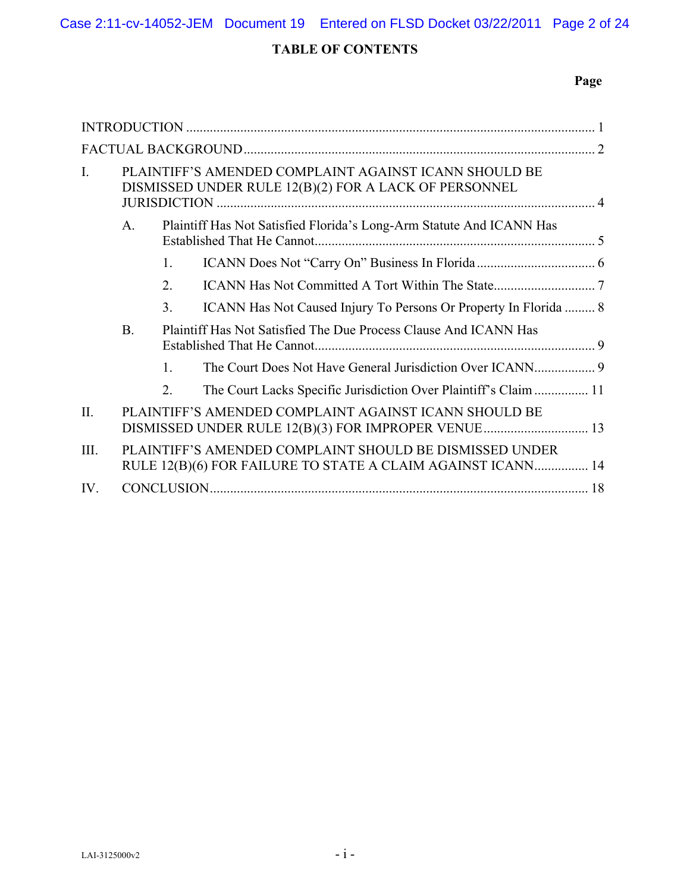# **TABLE OF CONTENTS**

# **Page**

| $\mathbf{I}$ . | PLAINTIFF'S AMENDED COMPLAINT AGAINST ICANN SHOULD BE<br>DISMISSED UNDER RULE 12(B)(2) FOR A LACK OF PERSONNEL |                                                                  |                                                                                                                        |    |
|----------------|----------------------------------------------------------------------------------------------------------------|------------------------------------------------------------------|------------------------------------------------------------------------------------------------------------------------|----|
|                | $\mathbf{A}$ .<br>Plaintiff Has Not Satisfied Florida's Long-Arm Statute And ICANN Has                         |                                                                  |                                                                                                                        |    |
|                |                                                                                                                | $\mathbf{1}$ .                                                   |                                                                                                                        |    |
|                |                                                                                                                | 2.                                                               |                                                                                                                        |    |
|                |                                                                                                                | 3.                                                               | ICANN Has Not Caused Injury To Persons Or Property In Florida  8                                                       |    |
|                | <b>B.</b>                                                                                                      | Plaintiff Has Not Satisfied The Due Process Clause And ICANN Has |                                                                                                                        |    |
|                |                                                                                                                | $\mathbf{1}$ .                                                   |                                                                                                                        |    |
|                |                                                                                                                | 2.                                                               | The Court Lacks Specific Jurisdiction Over Plaintiff's Claim  11                                                       |    |
| II.            |                                                                                                                |                                                                  | PLAINTIFF'S AMENDED COMPLAINT AGAINST ICANN SHOULD BE<br>DISMISSED UNDER RULE 12(B)(3) FOR IMPROPER VENUE 13           |    |
| III.           |                                                                                                                |                                                                  | PLAINTIFF'S AMENDED COMPLAINT SHOULD BE DISMISSED UNDER<br>RULE 12(B)(6) FOR FAILURE TO STATE A CLAIM AGAINST ICANN 14 |    |
| IV.            |                                                                                                                |                                                                  |                                                                                                                        | 18 |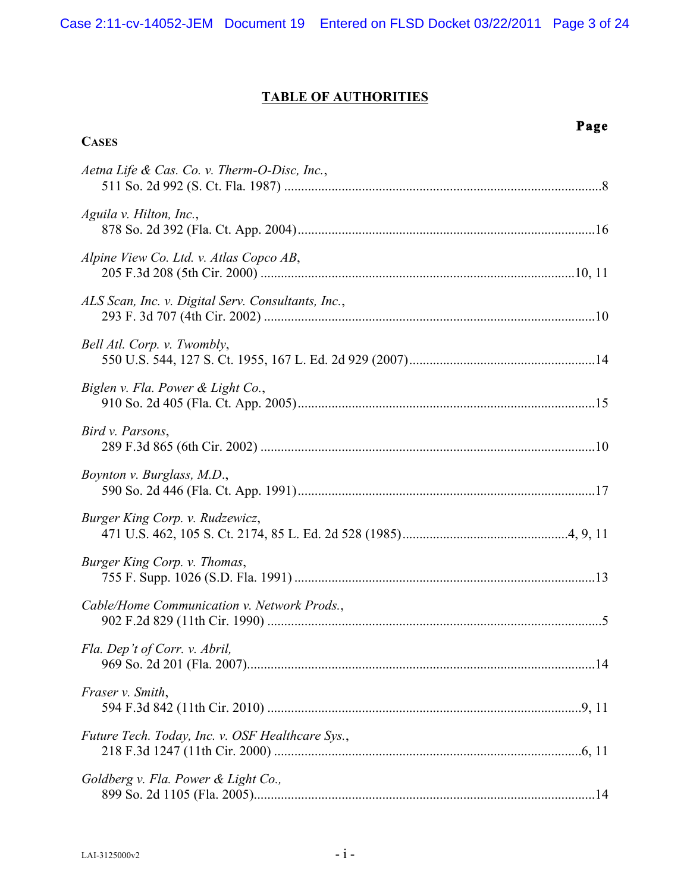# **TABLE OF AUTHORITIES**

# **CASES**

# **Page**

| Aetna Life & Cas. Co. v. Therm-O-Disc, Inc.,       |    |
|----------------------------------------------------|----|
| Aguila v. Hilton, Inc.,                            |    |
| Alpine View Co. Ltd. v. Atlas Copco AB,            |    |
| ALS Scan, Inc. v. Digital Serv. Consultants, Inc., |    |
| Bell Atl. Corp. v. Twombly,                        |    |
| Biglen v. Fla. Power & Light Co.,                  |    |
| Bird v. Parsons,                                   |    |
| Boynton v. Burglass, M.D.,                         |    |
| Burger King Corp. v. Rudzewicz,                    |    |
| Burger King Corp. v. Thomas,                       |    |
| Cable/Home Communication v. Network Prods.,        |    |
| Fla. Dep't of Corr. v. Abril,                      | 14 |
| Fraser v. Smith,                                   |    |
| Future Tech. Today, Inc. v. OSF Healthcare Sys.,   |    |
| Goldberg v. Fla. Power & Light Co.,                |    |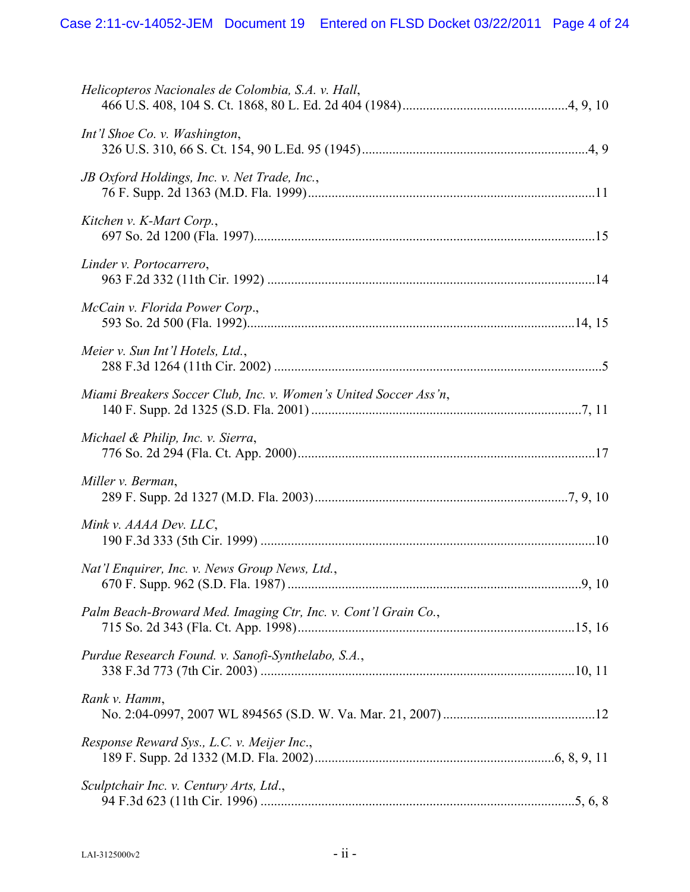| Helicopteros Nacionales de Colombia, S.A. v. Hall,               |       |
|------------------------------------------------------------------|-------|
| Int'l Shoe Co. v. Washington,                                    |       |
| JB Oxford Holdings, Inc. v. Net Trade, Inc.,                     |       |
| Kitchen v. K-Mart Corp.,                                         |       |
| Linder v. Portocarrero,                                          |       |
| McCain v. Florida Power Corp.,                                   |       |
| Meier v. Sun Int'l Hotels, Ltd.,                                 |       |
| Miami Breakers Soccer Club, Inc. v. Women's United Soccer Ass'n, |       |
| Michael & Philip, Inc. v. Sierra,                                |       |
| Miller v. Berman,                                                |       |
| Mink v. AAAA Dev. LLC,                                           |       |
| Nat'l Enquirer, Inc. v. News Group News, Ltd.,                   | 9, 10 |
| Palm Beach-Broward Med. Imaging Ctr, Inc. v. Cont'l Grain Co.,   |       |
| Purdue Research Found. v. Sanofi-Synthelabo, S.A.,               |       |
| Rank v. Hamm,                                                    |       |
| Response Reward Sys., L.C. v. Meijer Inc.,                       |       |
| Sculptchair Inc. v. Century Arts, Ltd.,                          |       |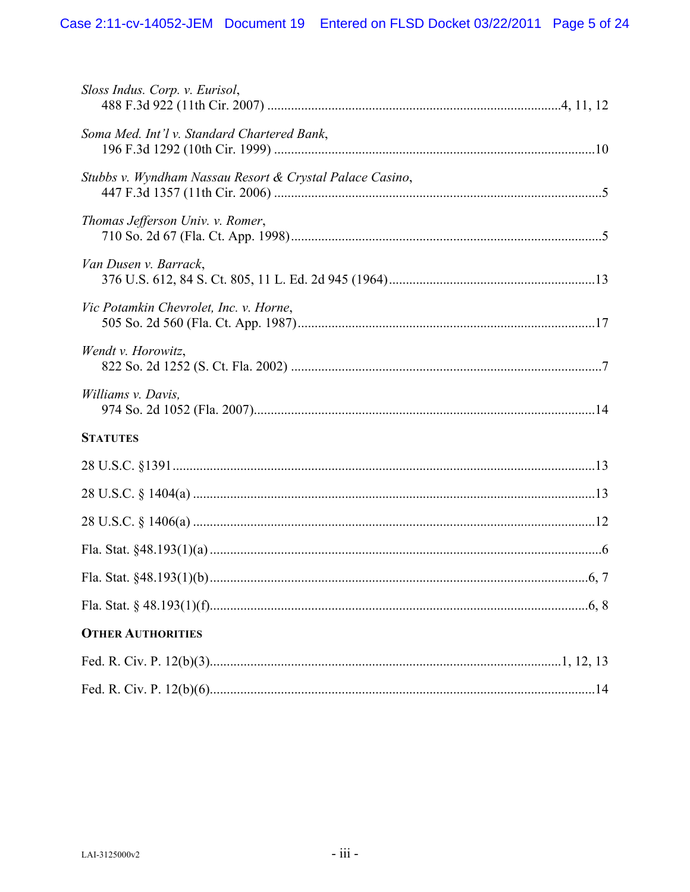| Sloss Indus. Corp. v. Eurisol,                           |
|----------------------------------------------------------|
| Soma Med. Int'l v. Standard Chartered Bank,              |
| Stubbs v. Wyndham Nassau Resort & Crystal Palace Casino, |
| Thomas Jefferson Univ. v. Romer,                         |
| Van Dusen v. Barrack,                                    |
| Vic Potamkin Chevrolet, Inc. v. Horne,                   |
| Wendt v. Horowitz,                                       |
| Williams v. Davis,                                       |
| <b>STATUTES</b>                                          |
|                                                          |
|                                                          |
|                                                          |
|                                                          |
|                                                          |
|                                                          |
| <b>OTHER AUTHORITIES</b>                                 |
|                                                          |
|                                                          |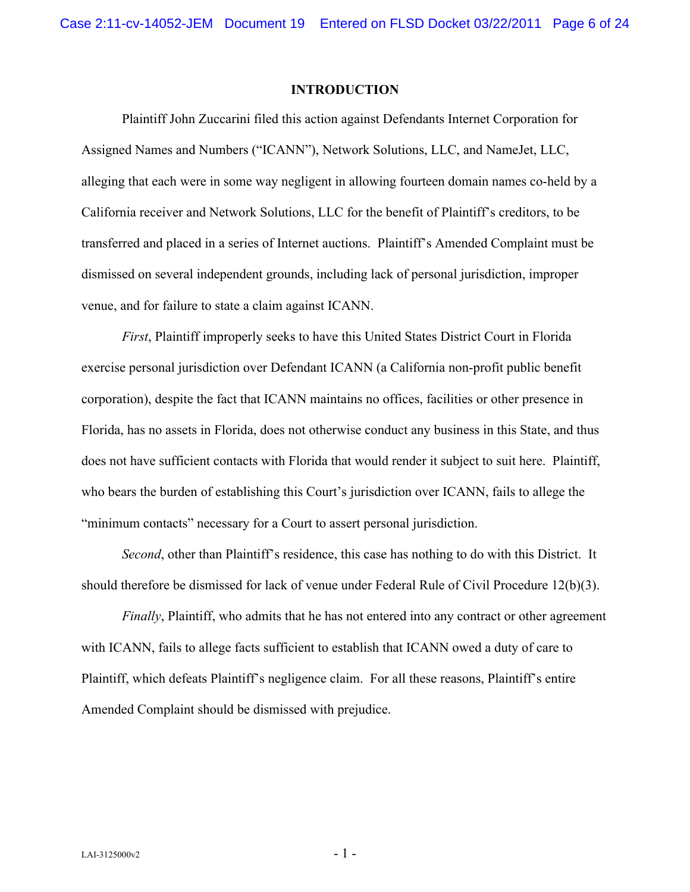#### **INTRODUCTION**

Plaintiff John Zuccarini filed this action against Defendants Internet Corporation for Assigned Names and Numbers ("ICANN"), Network Solutions, LLC, and NameJet, LLC, alleging that each were in some way negligent in allowing fourteen domain names co-held by a California receiver and Network Solutions, LLC for the benefit of Plaintiff's creditors, to be transferred and placed in a series of Internet auctions. Plaintiff's Amended Complaint must be dismissed on several independent grounds, including lack of personal jurisdiction, improper venue, and for failure to state a claim against ICANN.

*First*, Plaintiff improperly seeks to have this United States District Court in Florida exercise personal jurisdiction over Defendant ICANN (a California non-profit public benefit corporation), despite the fact that ICANN maintains no offices, facilities or other presence in Florida, has no assets in Florida, does not otherwise conduct any business in this State, and thus does not have sufficient contacts with Florida that would render it subject to suit here. Plaintiff, who bears the burden of establishing this Court's jurisdiction over ICANN, fails to allege the "minimum contacts" necessary for a Court to assert personal jurisdiction.

*Second*, other than Plaintiff's residence, this case has nothing to do with this District. It should therefore be dismissed for lack of venue under Federal Rule of Civil Procedure 12(b)(3).

*Finally*, Plaintiff, who admits that he has not entered into any contract or other agreement with ICANN, fails to allege facts sufficient to establish that ICANN owed a duty of care to Plaintiff, which defeats Plaintiff's negligence claim. For all these reasons, Plaintiff's entire Amended Complaint should be dismissed with prejudice.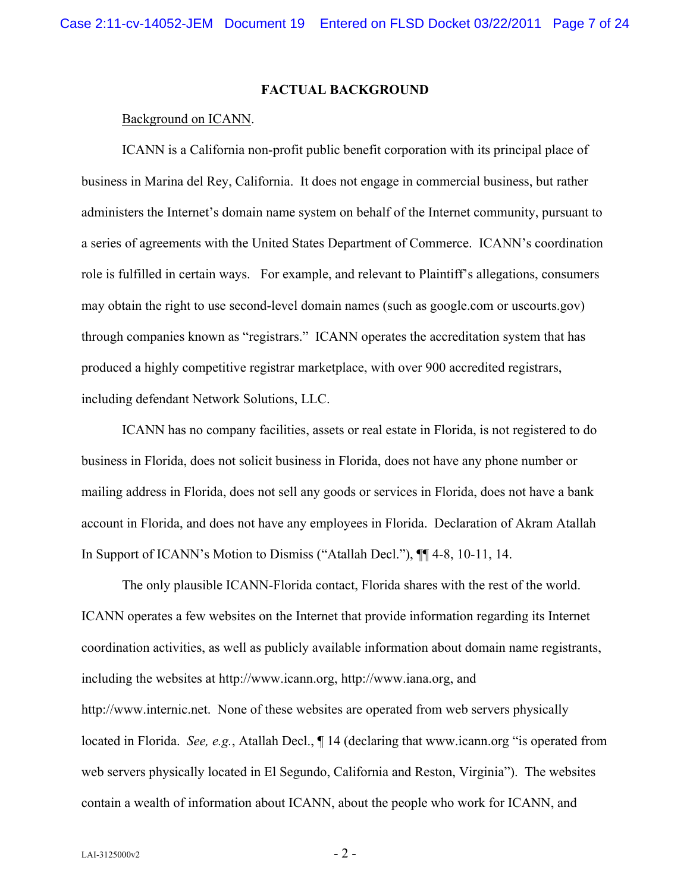### **FACTUAL BACKGROUND**

#### Background on ICANN.

ICANN is a California non-profit public benefit corporation with its principal place of business in Marina del Rey, California. It does not engage in commercial business, but rather administers the Internet's domain name system on behalf of the Internet community, pursuant to a series of agreements with the United States Department of Commerce. ICANN's coordination role is fulfilled in certain ways. For example, and relevant to Plaintiff's allegations, consumers may obtain the right to use second-level domain names (such as google.com or uscourts.gov) through companies known as "registrars." ICANN operates the accreditation system that has produced a highly competitive registrar marketplace, with over 900 accredited registrars, including defendant Network Solutions, LLC.

ICANN has no company facilities, assets or real estate in Florida, is not registered to do business in Florida, does not solicit business in Florida, does not have any phone number or mailing address in Florida, does not sell any goods or services in Florida, does not have a bank account in Florida, and does not have any employees in Florida. Declaration of Akram Atallah In Support of ICANN's Motion to Dismiss ("Atallah Decl."), ¶¶ 4-8, 10-11, 14.

The only plausible ICANN-Florida contact, Florida shares with the rest of the world. ICANN operates a few websites on the Internet that provide information regarding its Internet coordination activities, as well as publicly available information about domain name registrants, including the websites at http://www.icann.org, http://www.iana.org, and http://www.internic.net. None of these websites are operated from web servers physically located in Florida. *See, e.g.*, Atallah Decl., ¶ 14 (declaring that www.icann.org "is operated from web servers physically located in El Segundo, California and Reston, Virginia"). The websites contain a wealth of information about ICANN, about the people who work for ICANN, and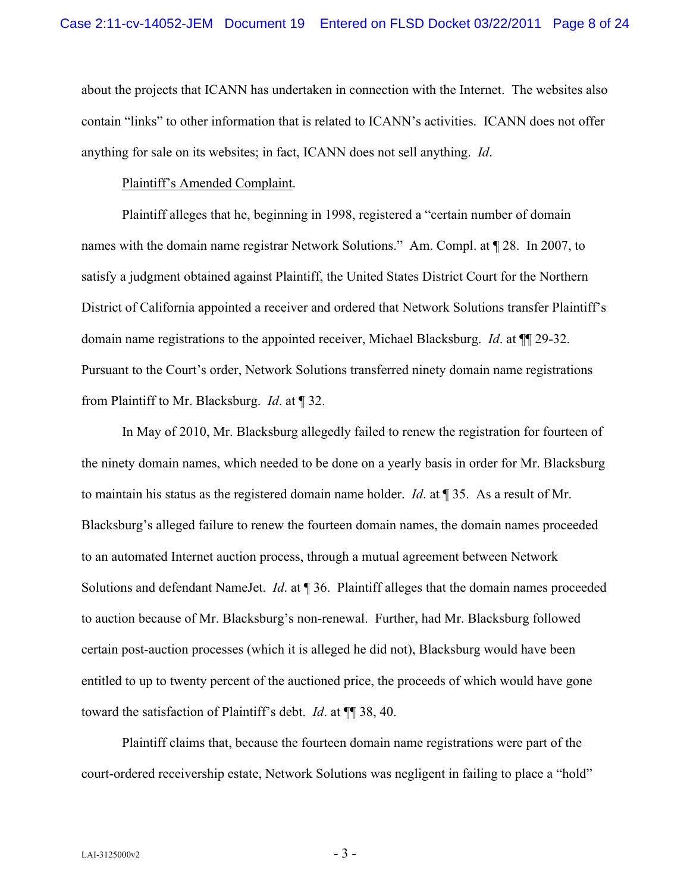about the projects that ICANN has undertaken in connection with the Internet. The websites also contain "links" to other information that is related to ICANN's activities. ICANN does not offer anything for sale on its websites; in fact, ICANN does not sell anything. *Id*.

### Plaintiff's Amended Complaint.

Plaintiff alleges that he, beginning in 1998, registered a "certain number of domain names with the domain name registrar Network Solutions." Am. Compl. at ¶ 28. In 2007, to satisfy a judgment obtained against Plaintiff, the United States District Court for the Northern District of California appointed a receiver and ordered that Network Solutions transfer Plaintiff's domain name registrations to the appointed receiver, Michael Blacksburg. *Id*. at ¶¶ 29-32. Pursuant to the Court's order, Network Solutions transferred ninety domain name registrations from Plaintiff to Mr. Blacksburg. *Id*. at ¶ 32.

In May of 2010, Mr. Blacksburg allegedly failed to renew the registration for fourteen of the ninety domain names, which needed to be done on a yearly basis in order for Mr. Blacksburg to maintain his status as the registered domain name holder. *Id*. at ¶ 35. As a result of Mr. Blacksburg's alleged failure to renew the fourteen domain names, the domain names proceeded to an automated Internet auction process, through a mutual agreement between Network Solutions and defendant NameJet. *Id*. at ¶ 36. Plaintiff alleges that the domain names proceeded to auction because of Mr. Blacksburg's non-renewal. Further, had Mr. Blacksburg followed certain post-auction processes (which it is alleged he did not), Blacksburg would have been entitled to up to twenty percent of the auctioned price, the proceeds of which would have gone toward the satisfaction of Plaintiff's debt. *Id*. at ¶¶ 38, 40.

Plaintiff claims that, because the fourteen domain name registrations were part of the court-ordered receivership estate, Network Solutions was negligent in failing to place a "hold"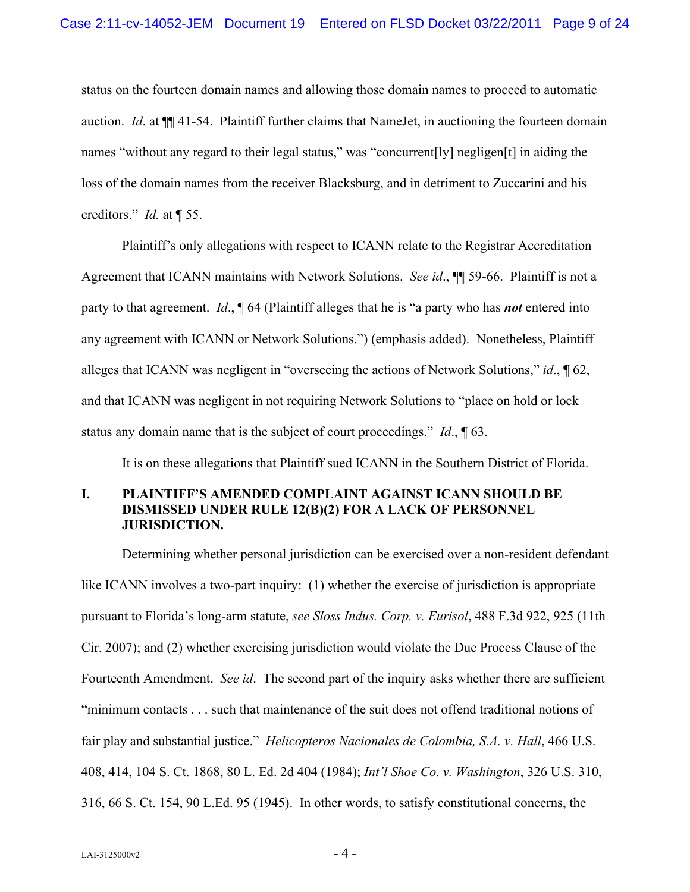status on the fourteen domain names and allowing those domain names to proceed to automatic auction. *Id*. at ¶¶ 41-54. Plaintiff further claims that NameJet, in auctioning the fourteen domain names "without any regard to their legal status," was "concurrent[ly] negligen[t] in aiding the loss of the domain names from the receiver Blacksburg, and in detriment to Zuccarini and his creditors." *Id.* at ¶ 55.

Plaintiff's only allegations with respect to ICANN relate to the Registrar Accreditation Agreement that ICANN maintains with Network Solutions. *See id*., ¶¶ 59-66. Plaintiff is not a party to that agreement. *Id*., ¶ 64 (Plaintiff alleges that he is "a party who has *not* entered into any agreement with ICANN or Network Solutions.") (emphasis added). Nonetheless, Plaintiff alleges that ICANN was negligent in "overseeing the actions of Network Solutions," *id*., ¶ 62, and that ICANN was negligent in not requiring Network Solutions to "place on hold or lock status any domain name that is the subject of court proceedings." *Id*., ¶ 63.

It is on these allegations that Plaintiff sued ICANN in the Southern District of Florida.

## **I. PLAINTIFF'S AMENDED COMPLAINT AGAINST ICANN SHOULD BE DISMISSED UNDER RULE 12(B)(2) FOR A LACK OF PERSONNEL JURISDICTION.**

Determining whether personal jurisdiction can be exercised over a non-resident defendant like ICANN involves a two-part inquiry: (1) whether the exercise of jurisdiction is appropriate pursuant to Florida's long-arm statute, *see Sloss Indus. Corp. v. Eurisol*, 488 F.3d 922, 925 (11th Cir. 2007); and (2) whether exercising jurisdiction would violate the Due Process Clause of the Fourteenth Amendment. *See id*. The second part of the inquiry asks whether there are sufficient "minimum contacts . . . such that maintenance of the suit does not offend traditional notions of fair play and substantial justice." *Helicopteros Nacionales de Colombia, S.A. v. Hall*, 466 U.S. 408, 414, 104 S. Ct. 1868, 80 L. Ed. 2d 404 (1984); *Int'l Shoe Co. v. Washington*, 326 U.S. 310, 316, 66 S. Ct. 154, 90 L.Ed. 95 (1945). In other words, to satisfy constitutional concerns, the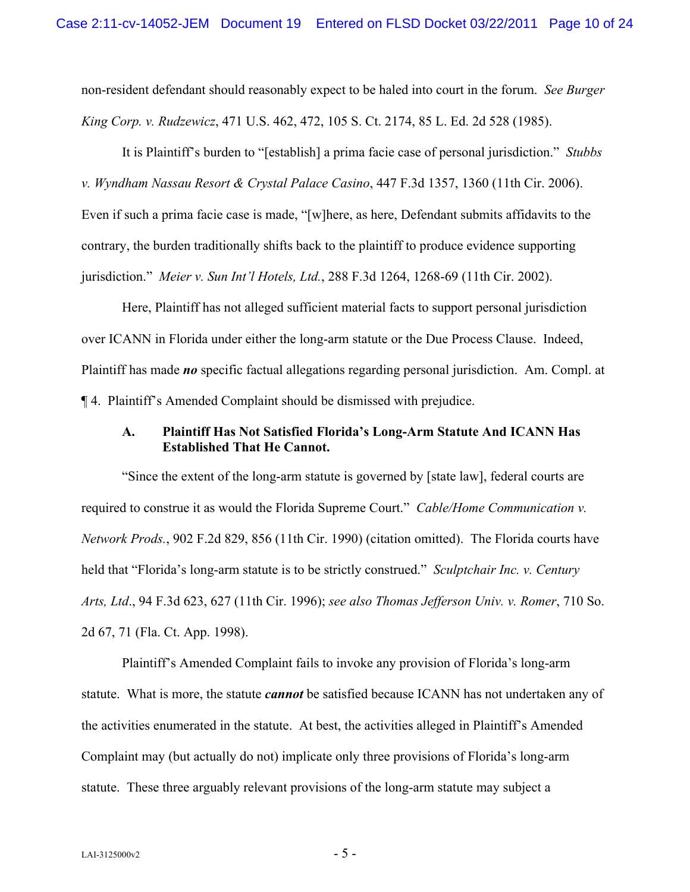non-resident defendant should reasonably expect to be haled into court in the forum. *See Burger King Corp. v. Rudzewicz*, 471 U.S. 462, 472, 105 S. Ct. 2174, 85 L. Ed. 2d 528 (1985).

It is Plaintiff's burden to "[establish] a prima facie case of personal jurisdiction." *Stubbs v. Wyndham Nassau Resort & Crystal Palace Casino*, 447 F.3d 1357, 1360 (11th Cir. 2006). Even if such a prima facie case is made, "[w]here, as here, Defendant submits affidavits to the contrary, the burden traditionally shifts back to the plaintiff to produce evidence supporting jurisdiction." *Meier v. Sun Int'l Hotels, Ltd.*, 288 F.3d 1264, 1268-69 (11th Cir. 2002).

Here, Plaintiff has not alleged sufficient material facts to support personal jurisdiction over ICANN in Florida under either the long-arm statute or the Due Process Clause. Indeed, Plaintiff has made *no* specific factual allegations regarding personal jurisdiction. Am. Compl. at ¶ 4. Plaintiff's Amended Complaint should be dismissed with prejudice.

### **A. Plaintiff Has Not Satisfied Florida's Long-Arm Statute And ICANN Has Established That He Cannot.**

"Since the extent of the long-arm statute is governed by [state law], federal courts are required to construe it as would the Florida Supreme Court." *Cable/Home Communication v. Network Prods.*, 902 F.2d 829, 856 (11th Cir. 1990) (citation omitted). The Florida courts have held that "Florida's long-arm statute is to be strictly construed." *Sculptchair Inc. v. Century Arts, Ltd*., 94 F.3d 623, 627 (11th Cir. 1996); *see also Thomas Jefferson Univ. v. Romer*, 710 So. 2d 67, 71 (Fla. Ct. App. 1998).

Plaintiff's Amended Complaint fails to invoke any provision of Florida's long-arm statute. What is more, the statute *cannot* be satisfied because ICANN has not undertaken any of the activities enumerated in the statute. At best, the activities alleged in Plaintiff's Amended Complaint may (but actually do not) implicate only three provisions of Florida's long-arm statute. These three arguably relevant provisions of the long-arm statute may subject a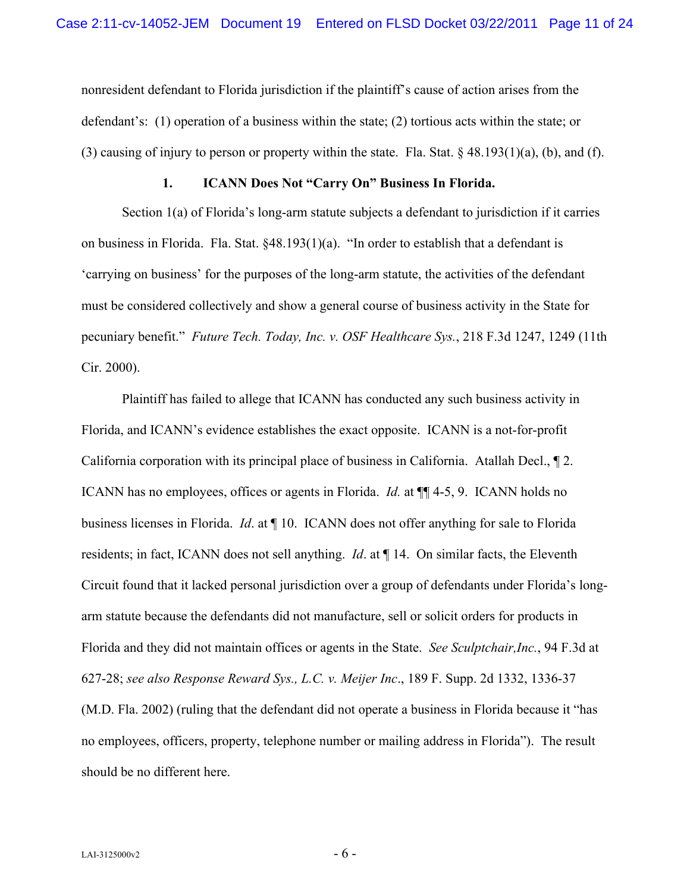nonresident defendant to Florida jurisdiction if the plaintiff's cause of action arises from the defendant's: (1) operation of a business within the state; (2) tortious acts within the state; or (3) causing of injury to person or property within the state. Fla. Stat.  $\S$  48.193(1)(a), (b), and (f).

### **1. ICANN Does Not "Carry On" Business In Florida.**

Section 1(a) of Florida's long-arm statute subjects a defendant to jurisdiction if it carries on business in Florida. Fla. Stat. §48.193(1)(a). "In order to establish that a defendant is 'carrying on business' for the purposes of the long-arm statute, the activities of the defendant must be considered collectively and show a general course of business activity in the State for pecuniary benefit." *Future Tech. Today, Inc. v. OSF Healthcare Sys.*, 218 F.3d 1247, 1249 (11th Cir. 2000).

Plaintiff has failed to allege that ICANN has conducted any such business activity in Florida, and ICANN's evidence establishes the exact opposite. ICANN is a not-for-profit California corporation with its principal place of business in California. Atallah Decl., ¶ 2. ICANN has no employees, offices or agents in Florida. *Id.* at ¶¶ 4-5, 9. ICANN holds no business licenses in Florida. *Id*. at ¶ 10. ICANN does not offer anything for sale to Florida residents; in fact, ICANN does not sell anything. *Id*. at ¶ 14. On similar facts, the Eleventh Circuit found that it lacked personal jurisdiction over a group of defendants under Florida's longarm statute because the defendants did not manufacture, sell or solicit orders for products in Florida and they did not maintain offices or agents in the State. *See Sculptchair,Inc.*, 94 F.3d at 627-28; *see also Response Reward Sys., L.C. v. Meijer Inc*., 189 F. Supp. 2d 1332, 1336-37 (M.D. Fla. 2002) (ruling that the defendant did not operate a business in Florida because it "has no employees, officers, property, telephone number or mailing address in Florida"). The result should be no different here.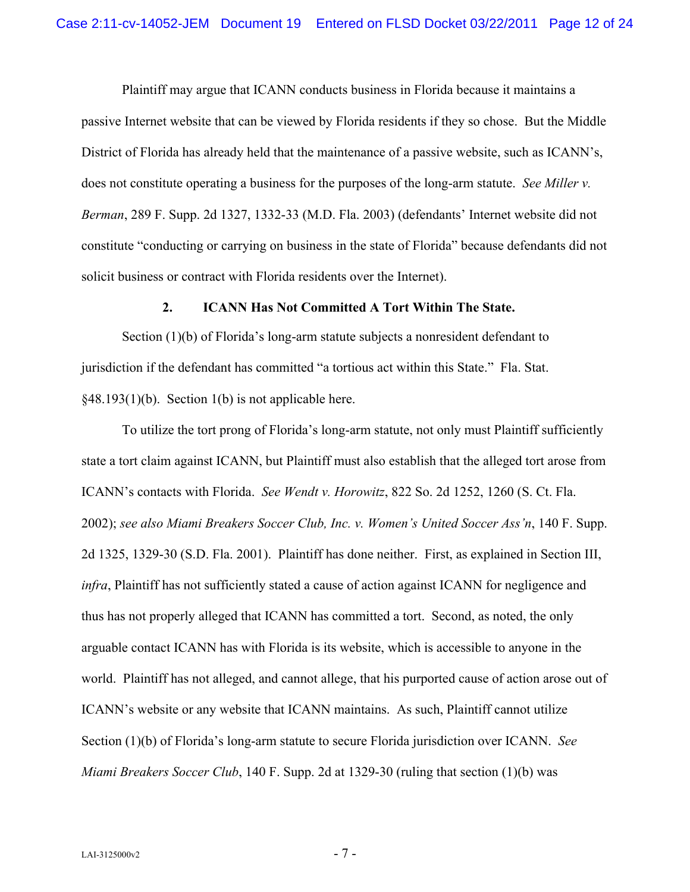Plaintiff may argue that ICANN conducts business in Florida because it maintains a passive Internet website that can be viewed by Florida residents if they so chose. But the Middle District of Florida has already held that the maintenance of a passive website, such as ICANN's, does not constitute operating a business for the purposes of the long-arm statute. *See Miller v. Berman*, 289 F. Supp. 2d 1327, 1332-33 (M.D. Fla. 2003) (defendants' Internet website did not constitute "conducting or carrying on business in the state of Florida" because defendants did not solicit business or contract with Florida residents over the Internet).

#### **2. ICANN Has Not Committed A Tort Within The State.**

Section (1)(b) of Florida's long-arm statute subjects a nonresident defendant to jurisdiction if the defendant has committed "a tortious act within this State." Fla. Stat.  $§48.193(1)(b)$ . Section 1(b) is not applicable here.

To utilize the tort prong of Florida's long-arm statute, not only must Plaintiff sufficiently state a tort claim against ICANN, but Plaintiff must also establish that the alleged tort arose from ICANN's contacts with Florida. *See Wendt v. Horowitz*, 822 So. 2d 1252, 1260 (S. Ct. Fla. 2002); *see also Miami Breakers Soccer Club, Inc. v. Women's United Soccer Ass'n*, 140 F. Supp. 2d 1325, 1329-30 (S.D. Fla. 2001). Plaintiff has done neither. First, as explained in Section III, *infra*, Plaintiff has not sufficiently stated a cause of action against ICANN for negligence and thus has not properly alleged that ICANN has committed a tort. Second, as noted, the only arguable contact ICANN has with Florida is its website, which is accessible to anyone in the world. Plaintiff has not alleged, and cannot allege, that his purported cause of action arose out of ICANN's website or any website that ICANN maintains. As such, Plaintiff cannot utilize Section (1)(b) of Florida's long-arm statute to secure Florida jurisdiction over ICANN. *See Miami Breakers Soccer Club*, 140 F. Supp. 2d at 1329-30 (ruling that section (1)(b) was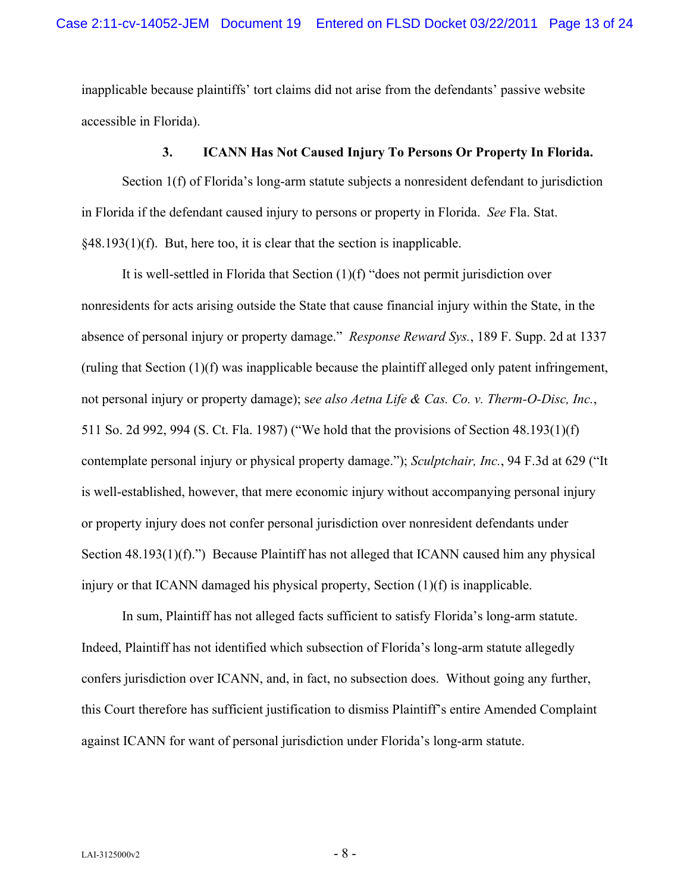inapplicable because plaintiffs' tort claims did not arise from the defendants' passive website accessible in Florida).

### **3. ICANN Has Not Caused Injury To Persons Or Property In Florida.**

Section 1(f) of Florida's long-arm statute subjects a nonresident defendant to jurisdiction in Florida if the defendant caused injury to persons or property in Florida. *See* Fla. Stat. §48.193(1)(f). But, here too, it is clear that the section is inapplicable.

It is well-settled in Florida that Section (1)(f) "does not permit jurisdiction over nonresidents for acts arising outside the State that cause financial injury within the State, in the absence of personal injury or property damage." *Response Reward Sys.*, 189 F. Supp. 2d at 1337 (ruling that Section (1)(f) was inapplicable because the plaintiff alleged only patent infringement, not personal injury or property damage); s*ee also Aetna Life & Cas. Co. v. Therm-O-Disc, Inc.*, 511 So. 2d 992, 994 (S. Ct. Fla. 1987) ("We hold that the provisions of Section 48.193(1)(f) contemplate personal injury or physical property damage."); *Sculptchair, Inc.*, 94 F.3d at 629 ("It is well-established, however, that mere economic injury without accompanying personal injury or property injury does not confer personal jurisdiction over nonresident defendants under Section 48.193(1)(f).") Because Plaintiff has not alleged that ICANN caused him any physical injury or that ICANN damaged his physical property, Section (1)(f) is inapplicable.

In sum, Plaintiff has not alleged facts sufficient to satisfy Florida's long-arm statute. Indeed, Plaintiff has not identified which subsection of Florida's long-arm statute allegedly confers jurisdiction over ICANN, and, in fact, no subsection does. Without going any further, this Court therefore has sufficient justification to dismiss Plaintiff's entire Amended Complaint against ICANN for want of personal jurisdiction under Florida's long-arm statute.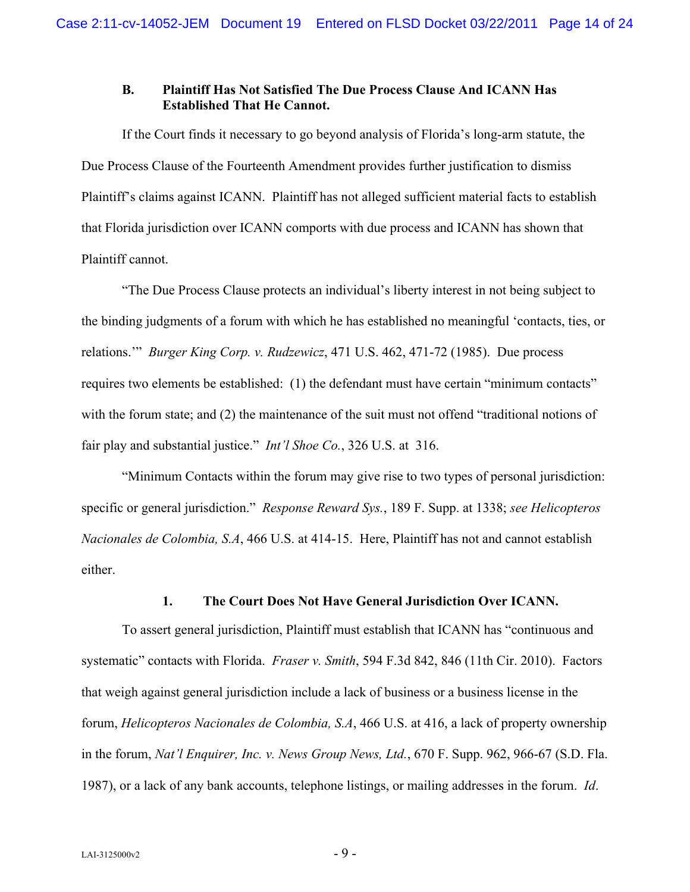### **B. Plaintiff Has Not Satisfied The Due Process Clause And ICANN Has Established That He Cannot.**

If the Court finds it necessary to go beyond analysis of Florida's long-arm statute, the Due Process Clause of the Fourteenth Amendment provides further justification to dismiss Plaintiff's claims against ICANN. Plaintiff has not alleged sufficient material facts to establish that Florida jurisdiction over ICANN comports with due process and ICANN has shown that Plaintiff cannot.

"The Due Process Clause protects an individual's liberty interest in not being subject to the binding judgments of a forum with which he has established no meaningful 'contacts, ties, or relations.'" *Burger King Corp. v. Rudzewicz*, 471 U.S. 462, 471-72 (1985). Due process requires two elements be established: (1) the defendant must have certain "minimum contacts" with the forum state; and (2) the maintenance of the suit must not offend "traditional notions of fair play and substantial justice." *Int'l Shoe Co.*, 326 U.S. at 316.

"Minimum Contacts within the forum may give rise to two types of personal jurisdiction: specific or general jurisdiction." *Response Reward Sys.*, 189 F. Supp. at 1338; *see Helicopteros Nacionales de Colombia, S.A*, 466 U.S. at 414-15. Here, Plaintiff has not and cannot establish either.

## **1. The Court Does Not Have General Jurisdiction Over ICANN.**

To assert general jurisdiction, Plaintiff must establish that ICANN has "continuous and systematic" contacts with Florida. *Fraser v. Smith*, 594 F.3d 842, 846 (11th Cir. 2010). Factors that weigh against general jurisdiction include a lack of business or a business license in the forum, *Helicopteros Nacionales de Colombia, S.A*, 466 U.S. at 416, a lack of property ownership in the forum, *Nat'l Enquirer, Inc. v. News Group News, Ltd.*, 670 F. Supp. 962, 966-67 (S.D. Fla. 1987), or a lack of any bank accounts, telephone listings, or mailing addresses in the forum. *Id*.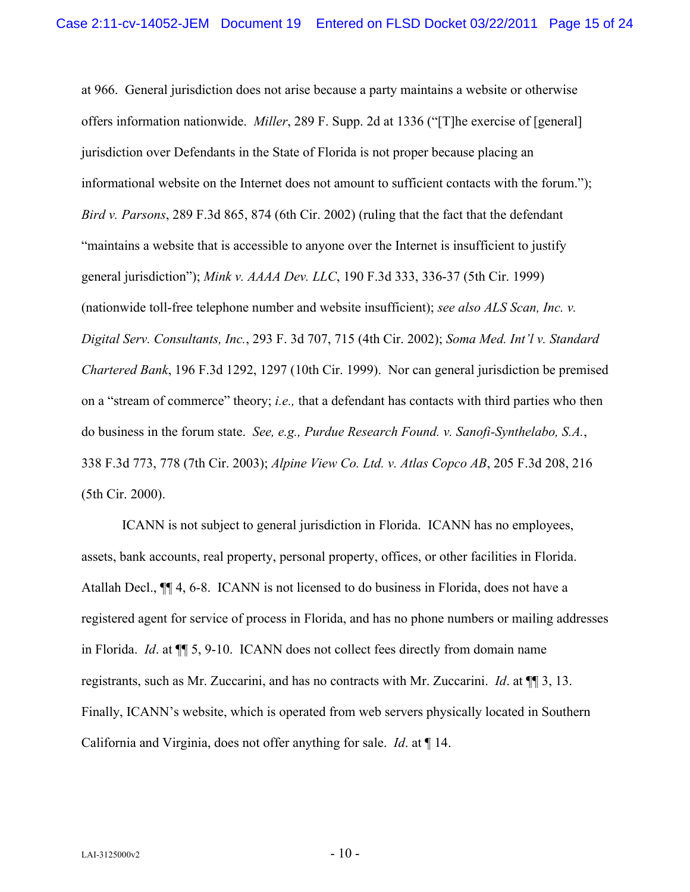at 966. General jurisdiction does not arise because a party maintains a website or otherwise offers information nationwide. *Miller*, 289 F. Supp. 2d at 1336 ("[T]he exercise of [general] jurisdiction over Defendants in the State of Florida is not proper because placing an informational website on the Internet does not amount to sufficient contacts with the forum."); *Bird v. Parsons*, 289 F.3d 865, 874 (6th Cir. 2002) (ruling that the fact that the defendant "maintains a website that is accessible to anyone over the Internet is insufficient to justify general jurisdiction"); *Mink v. AAAA Dev. LLC*, 190 F.3d 333, 336-37 (5th Cir. 1999) (nationwide toll-free telephone number and website insufficient); *see also ALS Scan, Inc. v. Digital Serv. Consultants, Inc.*, 293 F. 3d 707, 715 (4th Cir. 2002); *Soma Med. Int'l v. Standard Chartered Bank*, 196 F.3d 1292, 1297 (10th Cir. 1999). Nor can general jurisdiction be premised on a "stream of commerce" theory; *i.e.,* that a defendant has contacts with third parties who then do business in the forum state. *See, e.g., Purdue Research Found. v. Sanofi-Synthelabo, S.A.*, 338 F.3d 773, 778 (7th Cir. 2003); *Alpine View Co. Ltd. v. Atlas Copco AB*, 205 F.3d 208, 216 (5th Cir. 2000).

ICANN is not subject to general jurisdiction in Florida. ICANN has no employees, assets, bank accounts, real property, personal property, offices, or other facilities in Florida. Atallah Decl., ¶¶ 4, 6-8. ICANN is not licensed to do business in Florida, does not have a registered agent for service of process in Florida, and has no phone numbers or mailing addresses in Florida. *Id*. at ¶¶ 5, 9-10. ICANN does not collect fees directly from domain name registrants, such as Mr. Zuccarini, and has no contracts with Mr. Zuccarini. *Id*. at ¶¶ 3, 13. Finally, ICANN's website, which is operated from web servers physically located in Southern California and Virginia, does not offer anything for sale. *Id*. at ¶ 14.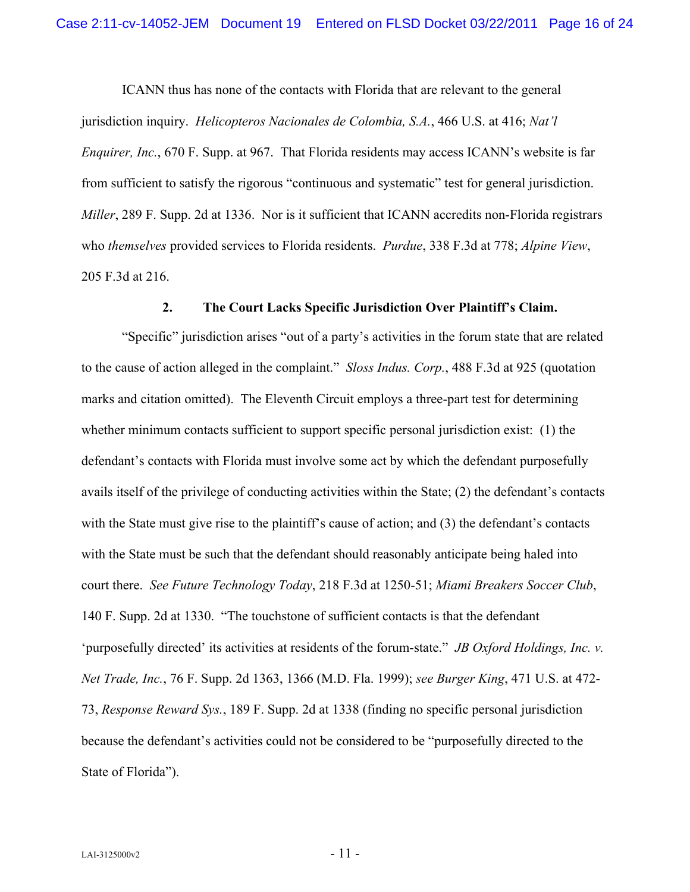ICANN thus has none of the contacts with Florida that are relevant to the general jurisdiction inquiry. *Helicopteros Nacionales de Colombia, S.A.*, 466 U.S. at 416; *Nat'l Enquirer, Inc.*, 670 F. Supp. at 967. That Florida residents may access ICANN's website is far from sufficient to satisfy the rigorous "continuous and systematic" test for general jurisdiction. *Miller*, 289 F. Supp. 2d at 1336. Nor is it sufficient that ICANN accredits non-Florida registrars who *themselves* provided services to Florida residents. *Purdue*, 338 F.3d at 778; *Alpine View*, 205 F.3d at 216.

### **2. The Court Lacks Specific Jurisdiction Over Plaintiff's Claim.**

"Specific" jurisdiction arises "out of a party's activities in the forum state that are related to the cause of action alleged in the complaint." *Sloss Indus. Corp.*, 488 F.3d at 925 (quotation marks and citation omitted). The Eleventh Circuit employs a three-part test for determining whether minimum contacts sufficient to support specific personal jurisdiction exist: (1) the defendant's contacts with Florida must involve some act by which the defendant purposefully avails itself of the privilege of conducting activities within the State; (2) the defendant's contacts with the State must give rise to the plaintiff's cause of action; and (3) the defendant's contacts with the State must be such that the defendant should reasonably anticipate being haled into court there. *See Future Technology Today*, 218 F.3d at 1250-51; *Miami Breakers Soccer Club*, 140 F. Supp. 2d at 1330. "The touchstone of sufficient contacts is that the defendant 'purposefully directed' its activities at residents of the forum-state." *JB Oxford Holdings, Inc. v. Net Trade, Inc.*, 76 F. Supp. 2d 1363, 1366 (M.D. Fla. 1999); *see Burger King*, 471 U.S. at 472- 73, *Response Reward Sys.*, 189 F. Supp. 2d at 1338 (finding no specific personal jurisdiction because the defendant's activities could not be considered to be "purposefully directed to the State of Florida").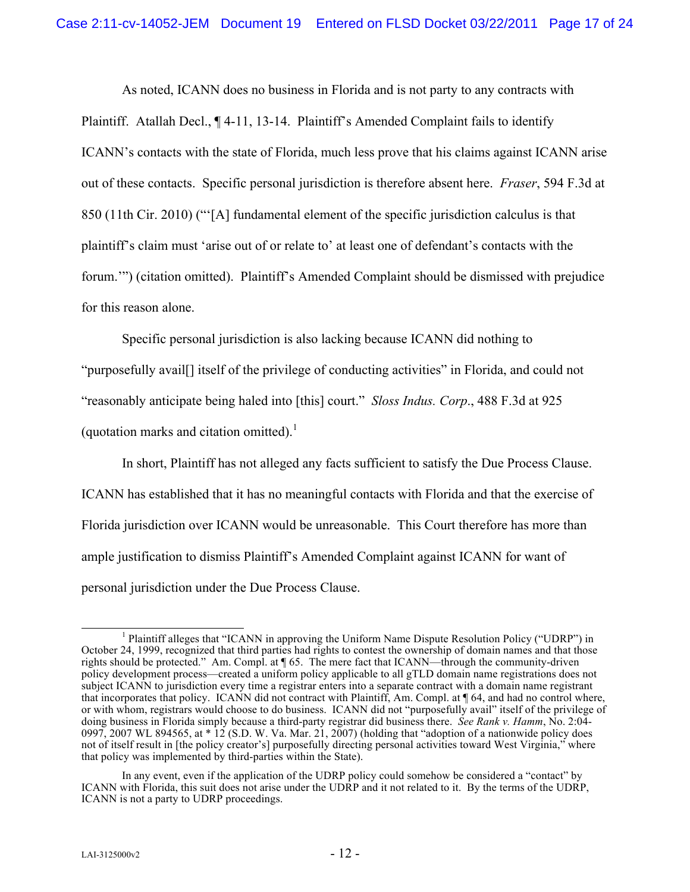As noted, ICANN does no business in Florida and is not party to any contracts with Plaintiff. Atallah Decl., ¶ 4-11, 13-14. Plaintiff's Amended Complaint fails to identify ICANN's contacts with the state of Florida, much less prove that his claims against ICANN arise out of these contacts. Specific personal jurisdiction is therefore absent here. *Fraser*, 594 F.3d at 850 (11th Cir. 2010) ("'[A] fundamental element of the specific jurisdiction calculus is that plaintiff's claim must 'arise out of or relate to' at least one of defendant's contacts with the forum.'") (citation omitted). Plaintiff's Amended Complaint should be dismissed with prejudice for this reason alone.

Specific personal jurisdiction is also lacking because ICANN did nothing to

"purposefully avail[] itself of the privilege of conducting activities" in Florida, and could not

"reasonably anticipate being haled into [this] court." *Sloss Indus. Corp*., 488 F.3d at 925

(quotation marks and citation omitted). $<sup>1</sup>$ </sup>

In short, Plaintiff has not alleged any facts sufficient to satisfy the Due Process Clause. ICANN has established that it has no meaningful contacts with Florida and that the exercise of Florida jurisdiction over ICANN would be unreasonable. This Court therefore has more than ample justification to dismiss Plaintiff's Amended Complaint against ICANN for want of personal jurisdiction under the Due Process Clause.

<sup>&</sup>lt;sup>1</sup> Plaintiff alleges that "ICANN in approving the Uniform Name Dispute Resolution Policy ("UDRP") in October 24, 1999, recognized that third parties had rights to contest the ownership of domain names and that those rights should be protected." Am. Compl. at ¶ 65. The mere fact that ICANN—through the community-driven policy development process—created a uniform policy applicable to all gTLD domain name registrations does not subject ICANN to jurisdiction every time a registrar enters into a separate contract with a domain name registrant that incorporates that policy. ICANN did not contract with Plaintiff, Am. Compl. at ¶ 64, and had no control where, or with whom, registrars would choose to do business. ICANN did not "purposefully avail" itself of the privilege of doing business in Florida simply because a third-party registrar did business there. *See Rank v. Hamm*, No. 2:04- 0997, 2007 WL 894565, at  $*$  12 (S.D. W. Va. Mar. 21, 2007) (holding that "adoption of a nationwide policy does not of itself result in [the policy creator's] purposefully directing personal activities toward West Virginia," where that policy was implemented by third-parties within the State).

In any event, even if the application of the UDRP policy could somehow be considered a "contact" by ICANN with Florida, this suit does not arise under the UDRP and it not related to it. By the terms of the UDRP, ICANN is not a party to UDRP proceedings.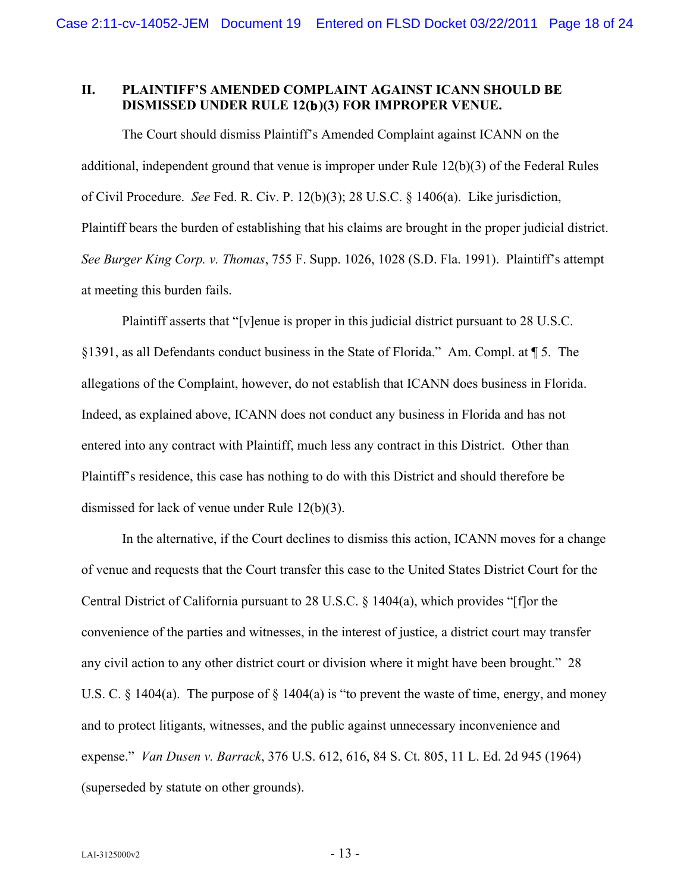# **II. PLAINTIFF'S AMENDED COMPLAINT AGAINST ICANN SHOULD BE DISMISSED UNDER RULE 12(b)(3) FOR IMPROPER VENUE.**

The Court should dismiss Plaintiff's Amended Complaint against ICANN on the additional, independent ground that venue is improper under Rule 12(b)(3) of the Federal Rules of Civil Procedure. *See* Fed. R. Civ. P. 12(b)(3); 28 U.S.C. § 1406(a). Like jurisdiction, Plaintiff bears the burden of establishing that his claims are brought in the proper judicial district. *See Burger King Corp. v. Thomas*, 755 F. Supp. 1026, 1028 (S.D. Fla. 1991). Plaintiff's attempt at meeting this burden fails.

Plaintiff asserts that "[v]enue is proper in this judicial district pursuant to 28 U.S.C. §1391, as all Defendants conduct business in the State of Florida." Am. Compl. at ¶ 5. The allegations of the Complaint, however, do not establish that ICANN does business in Florida. Indeed, as explained above, ICANN does not conduct any business in Florida and has not entered into any contract with Plaintiff, much less any contract in this District. Other than Plaintiff's residence, this case has nothing to do with this District and should therefore be dismissed for lack of venue under Rule 12(b)(3).

In the alternative, if the Court declines to dismiss this action, ICANN moves for a change of venue and requests that the Court transfer this case to the United States District Court for the Central District of California pursuant to 28 U.S.C. § 1404(a), which provides "[f]or the convenience of the parties and witnesses, in the interest of justice, a district court may transfer any civil action to any other district court or division where it might have been brought." 28 U.S. C. § 1404(a). The purpose of § 1404(a) is "to prevent the waste of time, energy, and money and to protect litigants, witnesses, and the public against unnecessary inconvenience and expense." *Van Dusen v. Barrack*, 376 U.S. 612, 616, 84 S. Ct. 805, 11 L. Ed. 2d 945 (1964) (superseded by statute on other grounds).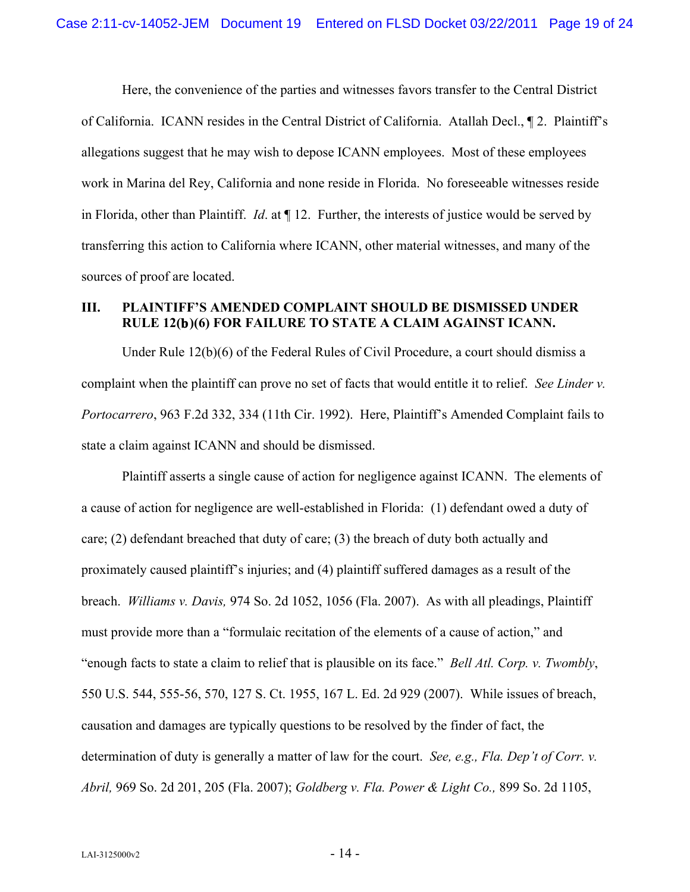Here, the convenience of the parties and witnesses favors transfer to the Central District of California. ICANN resides in the Central District of California. Atallah Decl., ¶ 2. Plaintiff's allegations suggest that he may wish to depose ICANN employees. Most of these employees work in Marina del Rey, California and none reside in Florida. No foreseeable witnesses reside in Florida, other than Plaintiff. *Id*. at ¶ 12. Further, the interests of justice would be served by transferring this action to California where ICANN, other material witnesses, and many of the sources of proof are located.

# **III. PLAINTIFF'S AMENDED COMPLAINT SHOULD BE DISMISSED UNDER RULE 12(b)(6) FOR FAILURE TO STATE A CLAIM AGAINST ICANN.**

Under Rule 12(b)(6) of the Federal Rules of Civil Procedure, a court should dismiss a complaint when the plaintiff can prove no set of facts that would entitle it to relief. *See Linder v. Portocarrero*, 963 F.2d 332, 334 (11th Cir. 1992). Here, Plaintiff's Amended Complaint fails to state a claim against ICANN and should be dismissed.

Plaintiff asserts a single cause of action for negligence against ICANN. The elements of a cause of action for negligence are well-established in Florida: (1) defendant owed a duty of care; (2) defendant breached that duty of care; (3) the breach of duty both actually and proximately caused plaintiff's injuries; and (4) plaintiff suffered damages as a result of the breach. *Williams v. Davis,* 974 So. 2d 1052, 1056 (Fla. 2007). As with all pleadings, Plaintiff must provide more than a "formulaic recitation of the elements of a cause of action," and "enough facts to state a claim to relief that is plausible on its face." *Bell Atl. Corp. v. Twombly*, 550 U.S. 544, 555-56, 570, 127 S. Ct. 1955, 167 L. Ed. 2d 929 (2007). While issues of breach, causation and damages are typically questions to be resolved by the finder of fact, the determination of duty is generally a matter of law for the court. *See, e.g., Fla. Dep't of Corr. v. Abril,* 969 So. 2d 201, 205 (Fla. 2007); *Goldberg v. Fla. Power & Light Co.,* 899 So. 2d 1105,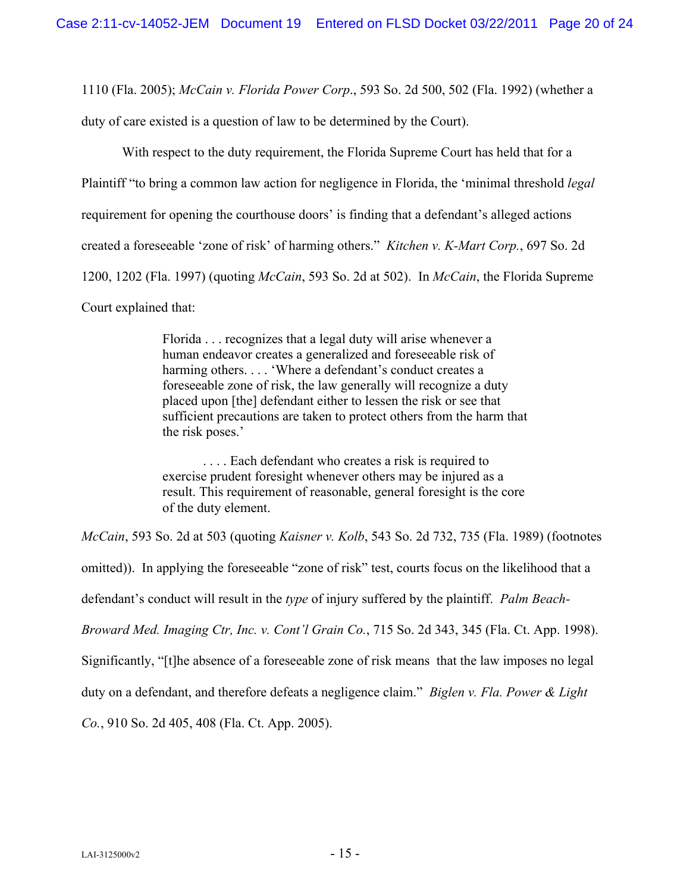1110 (Fla. 2005); *McCain v. Florida Power Corp*., 593 So. 2d 500, 502 (Fla. 1992) (whether a

duty of care existed is a question of law to be determined by the Court).

With respect to the duty requirement, the Florida Supreme Court has held that for a Plaintiff "to bring a common law action for negligence in Florida, the 'minimal threshold *legal* requirement for opening the courthouse doors' is finding that a defendant's alleged actions created a foreseeable 'zone of risk' of harming others." *Kitchen v. K-Mart Corp.*, 697 So. 2d 1200, 1202 (Fla. 1997) (quoting *McCain*, 593 So. 2d at 502). In *McCain*, the Florida Supreme Court explained that:

> Florida . . . recognizes that a legal duty will arise whenever a human endeavor creates a generalized and foreseeable risk of harming others. . . . 'Where a defendant's conduct creates a foreseeable zone of risk, the law generally will recognize a duty placed upon [the] defendant either to lessen the risk or see that sufficient precautions are taken to protect others from the harm that the risk poses.'

. . . . Each defendant who creates a risk is required to exercise prudent foresight whenever others may be injured as a result. This requirement of reasonable, general foresight is the core of the duty element.

*McCain*, 593 So. 2d at 503 (quoting *Kaisner v. Kolb*, 543 So. 2d 732, 735 (Fla. 1989) (footnotes omitted)). In applying the foreseeable "zone of risk" test, courts focus on the likelihood that a defendant's conduct will result in the *type* of injury suffered by the plaintiff. *Palm Beach-Broward Med. Imaging Ctr, Inc. v. Cont'l Grain Co.*, 715 So. 2d 343, 345 (Fla. Ct. App. 1998). Significantly, "[t]he absence of a foreseeable zone of risk means that the law imposes no legal duty on a defendant, and therefore defeats a negligence claim." *Biglen v. Fla. Power & Light* 

*Co.*, 910 So. 2d 405, 408 (Fla. Ct. App. 2005).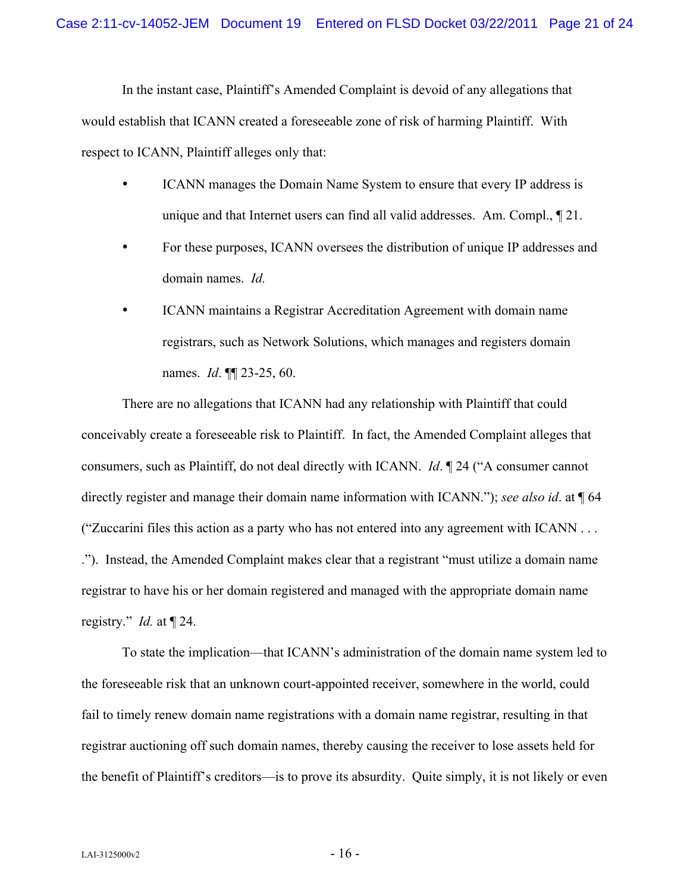In the instant case, Plaintiff's Amended Complaint is devoid of any allegations that would establish that ICANN created a foreseeable zone of risk of harming Plaintiff. With respect to ICANN, Plaintiff alleges only that:

- ICANN manages the Domain Name System to ensure that every IP address is unique and that Internet users can find all valid addresses. Am. Compl., ¶ 21.
- For these purposes, ICANN oversees the distribution of unique IP addresses and domain names. *Id.*
- ICANN maintains a Registrar Accreditation Agreement with domain name registrars, such as Network Solutions, which manages and registers domain names. *Id*. ¶¶ 23-25, 60.

There are no allegations that ICANN had any relationship with Plaintiff that could conceivably create a foreseeable risk to Plaintiff. In fact, the Amended Complaint alleges that consumers, such as Plaintiff, do not deal directly with ICANN. *Id*. ¶ 24 ("A consumer cannot directly register and manage their domain name information with ICANN."); *see also id*. at ¶ 64 ("Zuccarini files this action as a party who has not entered into any agreement with ICANN . . . ."). Instead, the Amended Complaint makes clear that a registrant "must utilize a domain name registrar to have his or her domain registered and managed with the appropriate domain name registry." *Id.* at ¶ 24.

To state the implication—that ICANN's administration of the domain name system led to the foreseeable risk that an unknown court-appointed receiver, somewhere in the world, could fail to timely renew domain name registrations with a domain name registrar, resulting in that registrar auctioning off such domain names, thereby causing the receiver to lose assets held for the benefit of Plaintiff's creditors—is to prove its absurdity. Quite simply, it is not likely or even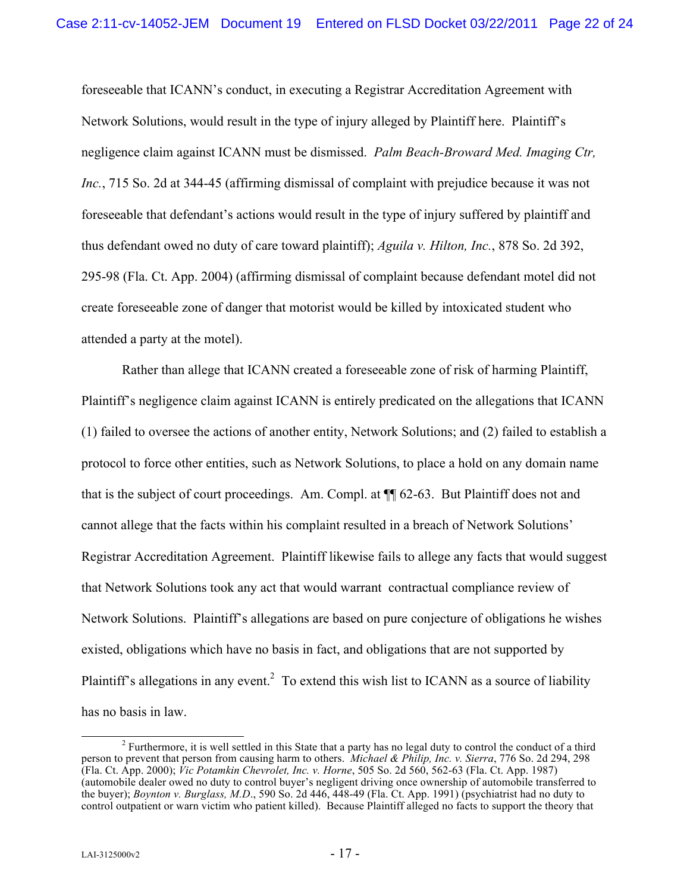foreseeable that ICANN's conduct, in executing a Registrar Accreditation Agreement with Network Solutions, would result in the type of injury alleged by Plaintiff here. Plaintiff's negligence claim against ICANN must be dismissed. *Palm Beach-Broward Med. Imaging Ctr, Inc.*, 715 So. 2d at 344-45 (affirming dismissal of complaint with prejudice because it was not foreseeable that defendant's actions would result in the type of injury suffered by plaintiff and thus defendant owed no duty of care toward plaintiff); *Aguila v. Hilton, Inc.*, 878 So. 2d 392, 295-98 (Fla. Ct. App. 2004) (affirming dismissal of complaint because defendant motel did not create foreseeable zone of danger that motorist would be killed by intoxicated student who attended a party at the motel).

Rather than allege that ICANN created a foreseeable zone of risk of harming Plaintiff, Plaintiff's negligence claim against ICANN is entirely predicated on the allegations that ICANN (1) failed to oversee the actions of another entity, Network Solutions; and (2) failed to establish a protocol to force other entities, such as Network Solutions, to place a hold on any domain name that is the subject of court proceedings. Am. Compl. at ¶¶ 62-63. But Plaintiff does not and cannot allege that the facts within his complaint resulted in a breach of Network Solutions' Registrar Accreditation Agreement. Plaintiff likewise fails to allege any facts that would suggest that Network Solutions took any act that would warrant contractual compliance review of Network Solutions. Plaintiff's allegations are based on pure conjecture of obligations he wishes existed, obligations which have no basis in fact, and obligations that are not supported by Plaintiff's allegations in any event.<sup>2</sup> To extend this wish list to ICANN as a source of liability has no basis in law.

<sup>&</sup>lt;sup>2</sup> Furthermore, it is well settled in this State that a party has no legal duty to control the conduct of a third person to prevent that person from causing harm to others. *Michael & Philip, Inc. v. Sierra*, 776 So. 2d 294, 298 (Fla. Ct. App. 2000); *Vic Potamkin Chevrolet, Inc. v. Horne*, 505 So. 2d 560, 562-63 (Fla. Ct. App. 1987) (automobile dealer owed no duty to control buyer's negligent driving once ownership of automobile transferred to the buyer); *Boynton v. Burglass, M.D*., 590 So. 2d 446, 448-49 (Fla. Ct. App. 1991) (psychiatrist had no duty to control outpatient or warn victim who patient killed). Because Plaintiff alleged no facts to support the theory that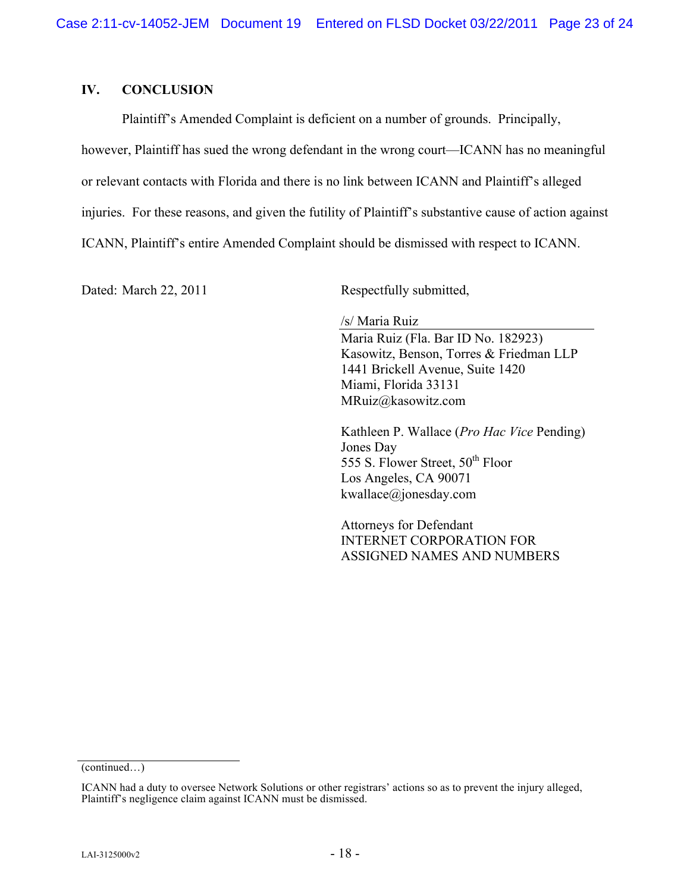### **IV. CONCLUSION**

Plaintiff's Amended Complaint is deficient on a number of grounds. Principally,

however, Plaintiff has sued the wrong defendant in the wrong court—ICANN has no meaningful

or relevant contacts with Florida and there is no link between ICANN and Plaintiff's alleged

injuries. For these reasons, and given the futility of Plaintiff's substantive cause of action against

ICANN, Plaintiff's entire Amended Complaint should be dismissed with respect to ICANN.

Dated: March 22, 2011 Respectfully submitted,

/s/ Maria Ruiz

Maria Ruiz (Fla. Bar ID No. 182923) Kasowitz, Benson, Torres & Friedman LLP 1441 Brickell Avenue, Suite 1420 Miami, Florida 33131 MRuiz@kasowitz.com

Kathleen P. Wallace (*Pro Hac Vice* Pending) Jones Day 555 S. Flower Street, 50<sup>th</sup> Floor Los Angeles, CA 90071 kwallace@jonesday.com

Attorneys for Defendant INTERNET CORPORATION FOR ASSIGNED NAMES AND NUMBERS

<sup>(</sup>continued…)

ICANN had a duty to oversee Network Solutions or other registrars' actions so as to prevent the injury alleged, Plaintiff's negligence claim against ICANN must be dismissed.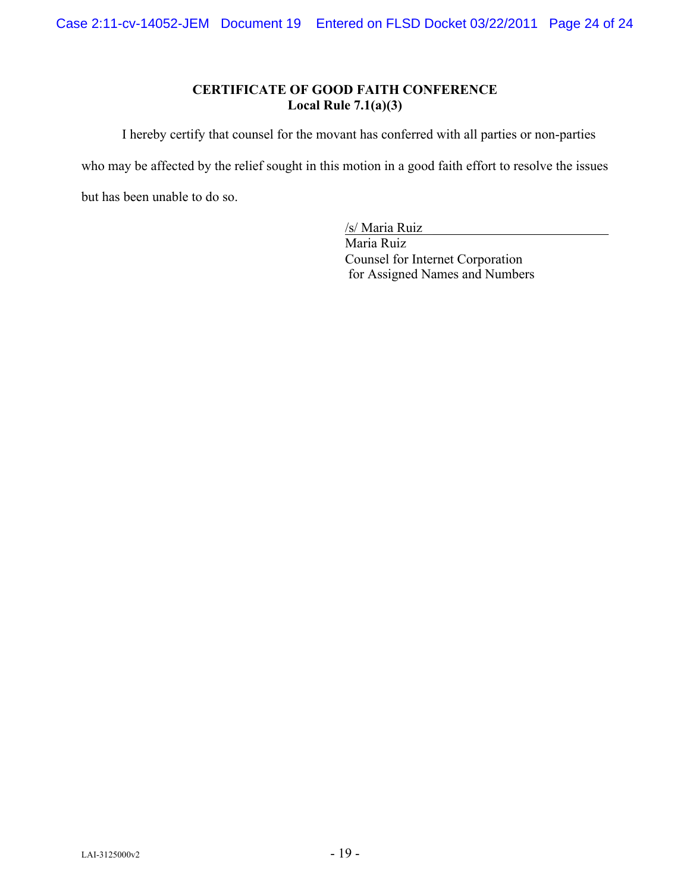# **CERTIFICATE OF GOOD FAITH CONFERENCE Local Rule 7.1(a)(3)**

I hereby certify that counsel for the movant has conferred with all parties or non-parties

who may be affected by the relief sought in this motion in a good faith effort to resolve the issues

but has been unable to do so.

/s/ Maria Ruiz

Maria Ruiz Counsel for Internet Corporation for Assigned Names and Numbers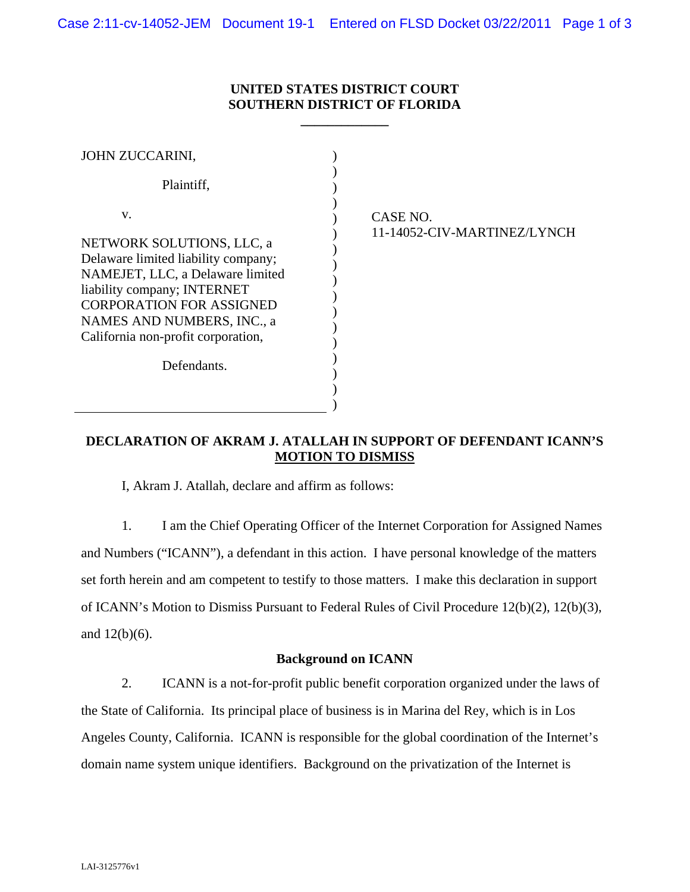# **UNITED STATES DISTRICT COURT SOUTHERN DISTRICT OF FLORIDA**

**\_\_\_\_\_\_\_\_\_\_\_\_\_** 

| JOHN ZUCCARINI,                                                                                                                                                                                                                                  |                                         |
|--------------------------------------------------------------------------------------------------------------------------------------------------------------------------------------------------------------------------------------------------|-----------------------------------------|
| Plaintiff,                                                                                                                                                                                                                                       |                                         |
| V.<br>NETWORK SOLUTIONS, LLC, a<br>Delaware limited liability company;<br>NAMEJET, LLC, a Delaware limited<br>liability company; INTERNET<br><b>CORPORATION FOR ASSIGNED</b><br>NAMES AND NUMBERS, INC., a<br>California non-profit corporation, | CASE NO.<br>11-14052-CIV-MARTINEZ/LYNCH |
| Defendants.                                                                                                                                                                                                                                      |                                         |
|                                                                                                                                                                                                                                                  |                                         |

# **DECLARATION OF AKRAM J. ATALLAH IN SUPPORT OF DEFENDANT ICANN'S MOTION TO DISMISS**

I, Akram J. Atallah, declare and affirm as follows:

1. I am the Chief Operating Officer of the Internet Corporation for Assigned Names and Numbers ("ICANN"), a defendant in this action. I have personal knowledge of the matters set forth herein and am competent to testify to those matters. I make this declaration in support of ICANN's Motion to Dismiss Pursuant to Federal Rules of Civil Procedure 12(b)(2), 12(b)(3), and  $12(b)(6)$ .

### **Background on ICANN**

2. ICANN is a not-for-profit public benefit corporation organized under the laws of the State of California. Its principal place of business is in Marina del Rey, which is in Los Angeles County, California. ICANN is responsible for the global coordination of the Internet's domain name system unique identifiers. Background on the privatization of the Internet is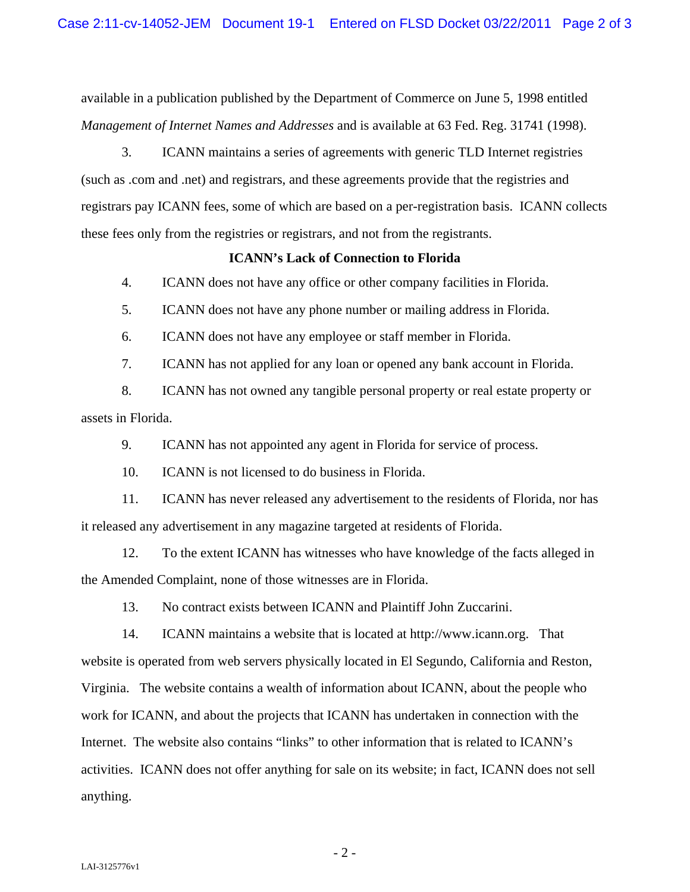available in a publication published by the Department of Commerce on June 5, 1998 entitled *Management of Internet Names and Addresses* and is available at 63 Fed. Reg. 31741 (1998).

3. ICANN maintains a series of agreements with generic TLD Internet registries (such as .com and .net) and registrars, and these agreements provide that the registries and registrars pay ICANN fees, some of which are based on a per-registration basis. ICANN collects these fees only from the registries or registrars, and not from the registrants.

### **ICANN's Lack of Connection to Florida**

4. ICANN does not have any office or other company facilities in Florida.

5. ICANN does not have any phone number or mailing address in Florida.

6. ICANN does not have any employee or staff member in Florida.

7. ICANN has not applied for any loan or opened any bank account in Florida.

8. ICANN has not owned any tangible personal property or real estate property or assets in Florida.

9. ICANN has not appointed any agent in Florida for service of process.

10. ICANN is not licensed to do business in Florida.

11. ICANN has never released any advertisement to the residents of Florida, nor has it released any advertisement in any magazine targeted at residents of Florida.

12. To the extent ICANN has witnesses who have knowledge of the facts alleged in the Amended Complaint, none of those witnesses are in Florida.

13. No contract exists between ICANN and Plaintiff John Zuccarini.

14. ICANN maintains a website that is located at http://www.icann.org. That website is operated from web servers physically located in El Segundo, California and Reston, Virginia. The website contains a wealth of information about ICANN, about the people who work for ICANN, and about the projects that ICANN has undertaken in connection with the Internet. The website also contains "links" to other information that is related to ICANN's activities. ICANN does not offer anything for sale on its website; in fact, ICANN does not sell anything.

- 2 -